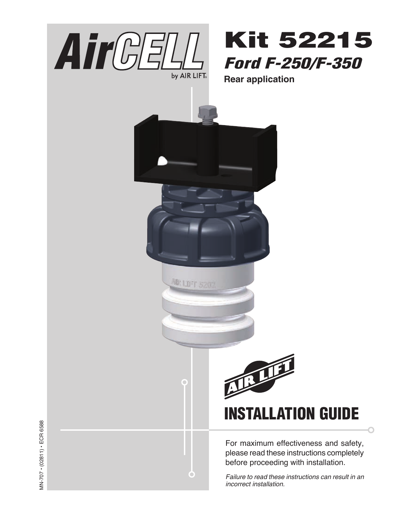

# Kit 52215 Ford F-250/F-350

**Rear application**



۰

For maximum effectiveness and safety, please read these instructions completely before proceeding with installation.

*Failure to read these instructions can result in an incorrect installation.*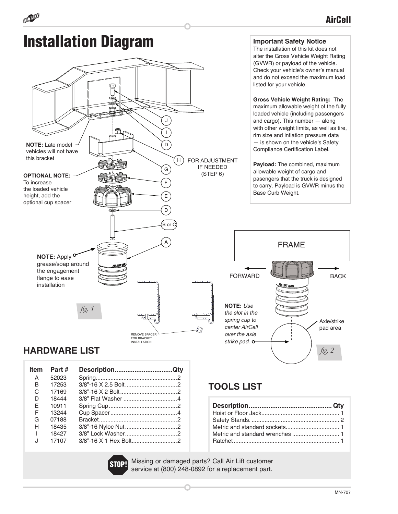

一

| <b>Item</b> | Part # | DescriptionQty |  |
|-------------|--------|----------------|--|
| A           | 52023  |                |  |
| B           | 17253  |                |  |
| C           | 17169  |                |  |
| D           | 18444  |                |  |
| F           | 10911  |                |  |
| F           | 13244  |                |  |
| G           | 07188  |                |  |
| н           | 18435  |                |  |
|             | 18427  |                |  |
| J           | 17107  |                |  |
|             |        |                |  |

### **TOOLS LIST**

Missing or damaged parts? Call Air Lift customer service at (800) 248-0892 for a replacement part.

**BACK**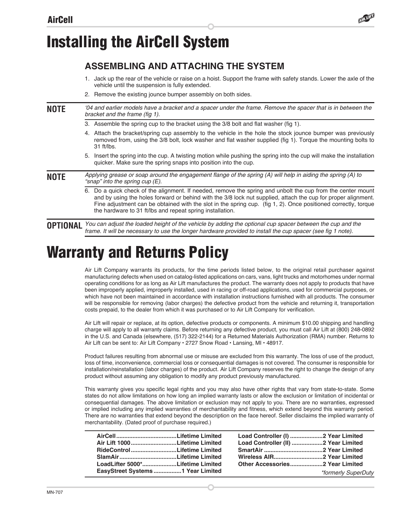

### **ASSEMBLING AND ATTACHING THE SYSTEM**

- 1. Jack up the rear of the vehicle or raise on a hoist. Support the frame with safety stands. Lower the axle of the vehicle until the suspension is fully extended.
- 2. Remove the existing jounce bumper assembly on both sides.
- *'04 and earlier models have a bracket and a spacer under the frame. Remove the spacer that is in between the*  bracket and the frame (fig 1). **NOTE**
	- 3. Assemble the spring cup to the bracket using the 3/8 bolt and flat washer (fig 1).
	- 4. Attach the bracket/spring cup assembly to the vehicle in the hole the stock jounce bumper was previously removed from, using the 3/8 bolt, lock washer and flat washer supplied (fig 1). Torque the mounting bolts to 31 ft/lbs.
	- 5. Insert the spring into the cup. A twisting motion while pushing the spring into the cup will make the installation quicker. Make sure the spring snaps into position into the cup.

**NOTE**

Applying grease or soap around the engagement flange of the spring (A) will help in aiding the spring (A) to "snap" into the spring cup (E).

6. Do a quick check of the alignment. If needed, remove the spring and unbolt the cup from the center mount and by using the holes forward or behind with the 3/8 lock nut supplied, attach the cup for proper alignment. Fine adjustment can be obtained with the slot in the spring cup. (fig 1, 2). Once positioned correctly, torque the hardware to 31 ft/lbs and repeat spring installation.

*You can adjust the loaded height of the vehicle by adding the optional cup spacer between the cup and the*  frame. It will be necessary to use the longer hardware provided to install the cup spacer (see fig 1 note). **OPTIONAL**

## Warranty and Returns Policy

Air Lift Company warrants its products, for the time periods listed below, to the original retail purchaser against manufacturing defects when used on catalog-listed applications on cars, vans, light trucks and motorhomes under normal operating conditions for as long as Air Lift manufactures the product. The warranty does not apply to products that have been improperly applied, improperly installed, used in racing or off-road applications, used for commercial purposes, or which have not been maintained in accordance with installation instructions furnished with all products. The consumer will be responsible for removing (labor charges) the defective product from the vehicle and returning it, transportation costs prepaid, to the dealer from which it was purchased or to Air Lift Company for verification.

Air Lift will repair or replace, at its option, defective products or components. A minimum \$10.00 shipping and handling charge will apply to all warranty claims. Before returning any defective product, you must call Air Lift at (800) 248-0892 in the U.S. and Canada (elsewhere, (517) 322-2144) for a Returned Materials Authorization (RMA) number. Returns to Air Lift can be sent to: Air Lift Company • 2727 Snow Road • Lansing, MI • 48917.

Product failures resulting from abnormal use or misuse are excluded from this warranty. The loss of use of the product, loss of time, inconvenience, commercial loss or consequential damages is not covered. The consumer is responsible for installation/reinstallation (labor charges) of the product. Air Lift Company reserves the right to change the design of any product without assuming any obligation to modify any product previously manufactured.

This warranty gives you specific legal rights and you may also have other rights that vary from state-to-state. Some states do not allow limitations on how long an implied warranty lasts or allow the exclusion or limitation of incidental or consequential damages. The above limitation or exclusion may not apply to you. There are no warranties, expressed or implied including any implied warranties of merchantability and fitness, which extend beyond this warranty period. There are no warranties that extend beyond the description on the face hereof. Seller disclaims the implied warranty of merchantability. (Dated proof of purchase required.)

| Air Lift 1000Lifetime Limited    |  |                     |
|----------------------------------|--|---------------------|
| RideControlLifetime Limited      |  |                     |
|                                  |  |                     |
| LoadLifter 5000*Lifetime Limited |  |                     |
|                                  |  | *formerly SuperDuty |